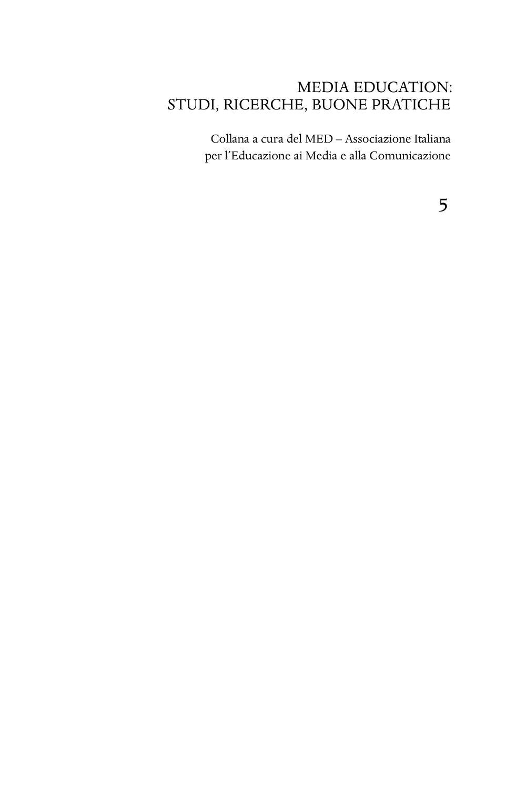## [MEDIA EDUCATION:](http://www.aracneeditrice.it/aracneweb/index.php/collana.html?col=med) [STUDI, RICERCHE, BUONE PRATICHE](http://www.aracneeditrice.it/aracneweb/index.php/collana.html?col=med)

Collana a cura del MED – Associazione Italiana per l'Educazione ai Media e alla Comunicazione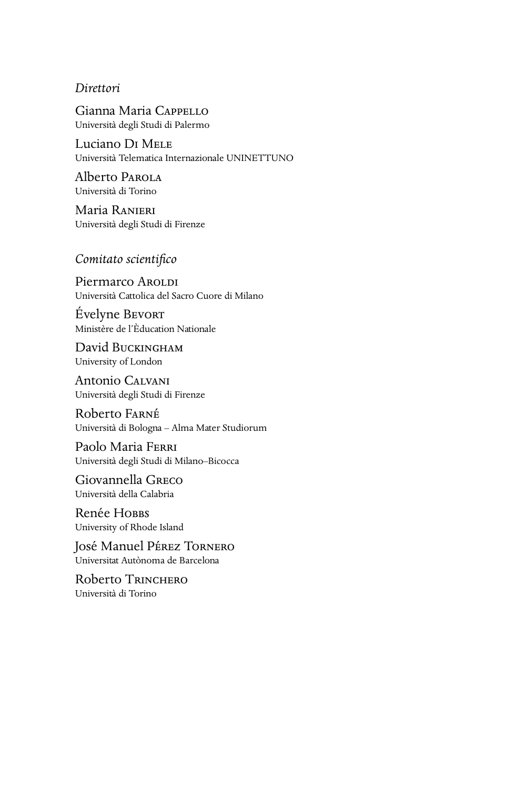#### *Direttori*

Gianna Maria C Università degli Studi di Palermo

Luciano DI MELE Università Telematica Internazionale UNINETTUNO

Alberto P Università di Torino

Maria R Università degli Studi di Firenze

#### *Comitato scientifico*

Piermarco AROLDI Università Cattolica del Sacro Cuore di Milano

Évelyne B Ministère de l'Èducation Nationale

David BUCKINGHAM University of London

Antonio C Università degli Studi di Firenze

Roberto F Università di Bologna – Alma Mater Studiorum

Paolo Maria F Università degli Studi di Milano–Bicocca

Giovannella G Università della Calabria

Renée H University of Rhode Island

José Manuel Pérez Tornero Universitat Autònoma de Barcelona

Roberto T Università di Torino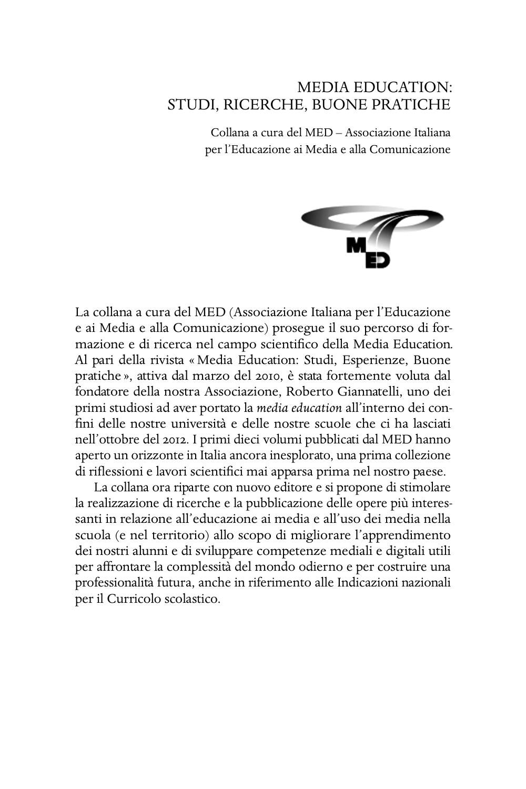### [MEDIA EDUCATION:](http://www.aracneeditrice.it/aracneweb/index.php/collana.html?col=med) [STUDI, RICERCHE, BUONE PRATICHE](http://www.aracneeditrice.it/aracneweb/index.php/collana.html?col=med)

Collana a cura del MED – Associazione Italiana per l'Educazione ai Media e alla Comunicazione



La collana a cura del MED (Associazione Italiana per l'Educazione e ai Media e alla Comunicazione) prosegue il suo percorso di formazione e di ricerca nel campo scientifico della Media Education. Al pari della rivista « Media Education: Studi, Esperienze, Buone pratiche », attiva dal marzo del 2010, è stata fortemente voluta dal fondatore della nostra Associazione, Roberto Giannatelli, uno dei primi studiosi ad aver portato la *media education* all'interno dei confini delle nostre università e delle nostre scuole che ci ha lasciati nell'ottobre del 2012. I primi dieci volumi pubblicati dal MED hanno aperto un orizzonte in Italia ancora inesplorato, una prima collezione di riflessioni e lavori scientifici mai apparsa prima nel nostro paese.

La collana ora riparte con nuovo editore e si propone di stimolare la realizzazione di ricerche e la pubblicazione delle opere più interessanti in relazione all'educazione ai media e all'uso dei media nella scuola (e nel territorio) allo scopo di migliorare l'apprendimento dei nostri alunni e di sviluppare competenze mediali e digitali utili per affrontare la complessità del mondo odierno e per costruire una professionalità futura, anche in riferimento alle Indicazioni nazionali per il Curricolo scolastico.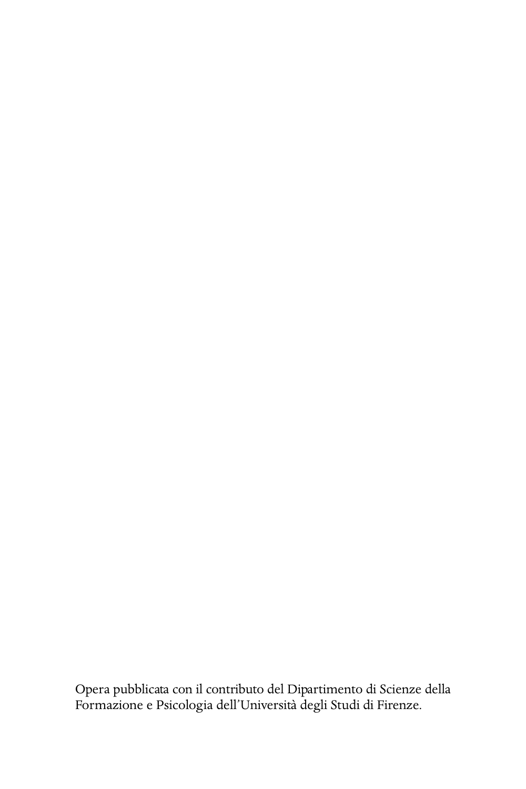Opera pubblicata con il contributo del Dipartimento di Scienze della Formazione e Psicologia dell'Università degli Studi di Firenze.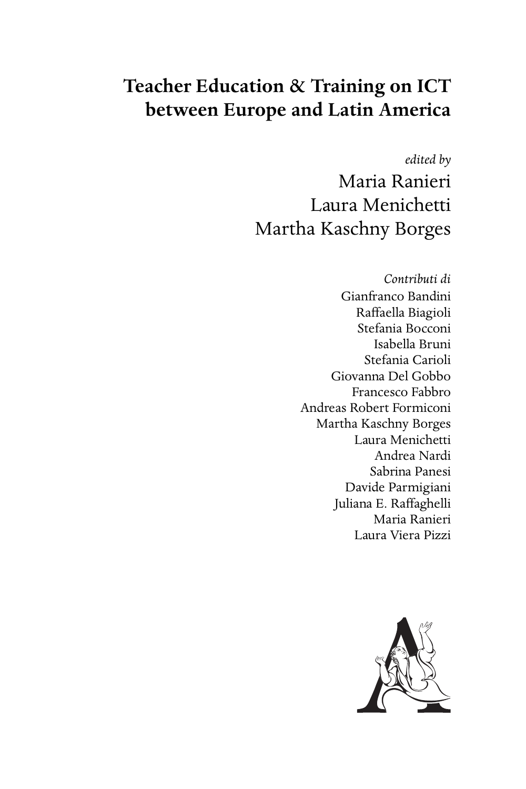# **Teacher Education & Training on ICT between Europe and Latin America**

*edited by*

Maria Ranieri Laura Menichetti Martha Kaschny Borges

> *Contributi di* Gianfranco Bandini Raffaella Biagioli Stefania Bocconi Isabella Bruni Stefania Carioli Giovanna Del Gobbo Francesco Fabbro Andreas Robert Formiconi Martha Kaschny Borges Laura Menichetti Andrea Nardi Sabrina Panesi Davide Parmigiani Juliana E. Raffaghelli Maria Ranieri Laura Viera Pizzi

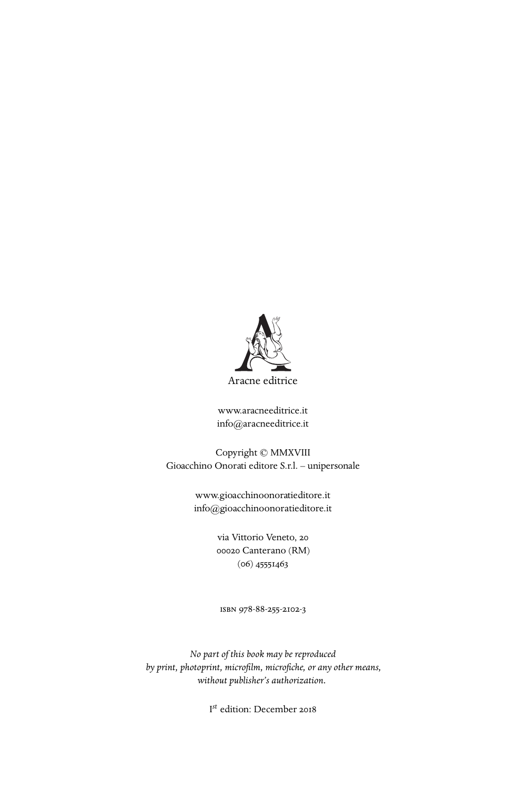

<www.aracneeditrice.it> <info@aracneeditrice.it>

Copyright © MMXVIII Gioacchino Onorati editore S.r.l. – unipersonale

> <www.gioacchinoonoratieditore.it> <info@gioacchinoonoratieditore.it>

> > via Vittorio Veneto, ooozo Canterano (RM)  $(06)$  45551463

ISBN 978-88-255-2102-3

*No part of this book may be reproduced by print, photoprint, microfilm, microfiche, or any other means, without publisher's authorization.*

I *st* edition: December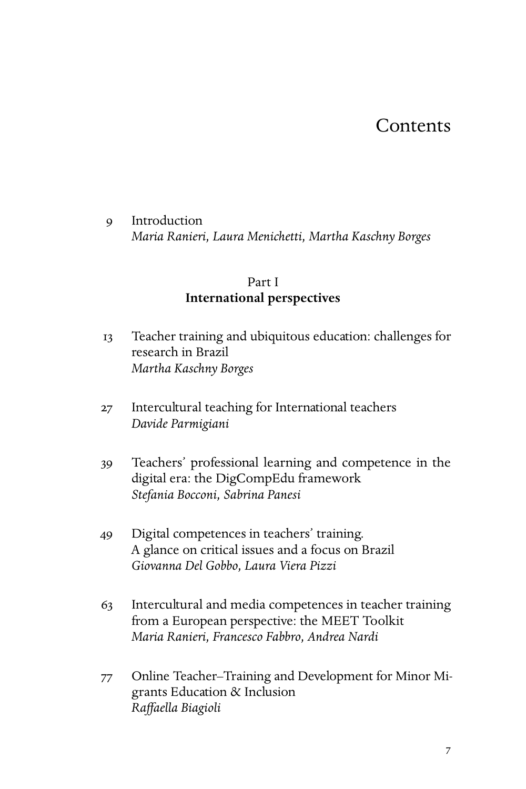## **Contents**

 Introduction *Maria Ranieri, Laura Menichetti, Martha Kaschny Borges*

### Part I **International perspectives**

- Teacher training and ubiquitous education: challenges for research in Brazil *Martha Kaschny Borges*
- 27 Intercultural teaching for International teachers *Davide Parmigiani*
- Teachers' professional learning and competence in the digital era: the DigCompEdu framework *Stefania Bocconi, Sabrina Panesi*
- Digital competences in teachers' training. A glance on critical issues and a focus on Brazil *Giovanna Del Gobbo, Laura Viera Pizzi*
- Intercultural and media competences in teacher training from a European perspective: the MEET Toolkit *Maria Ranieri, Francesco Fabbro, Andrea Nardi*
- Online Teacher–Training and Development for Minor Migrants Education & Inclusion *Raffaella Biagioli*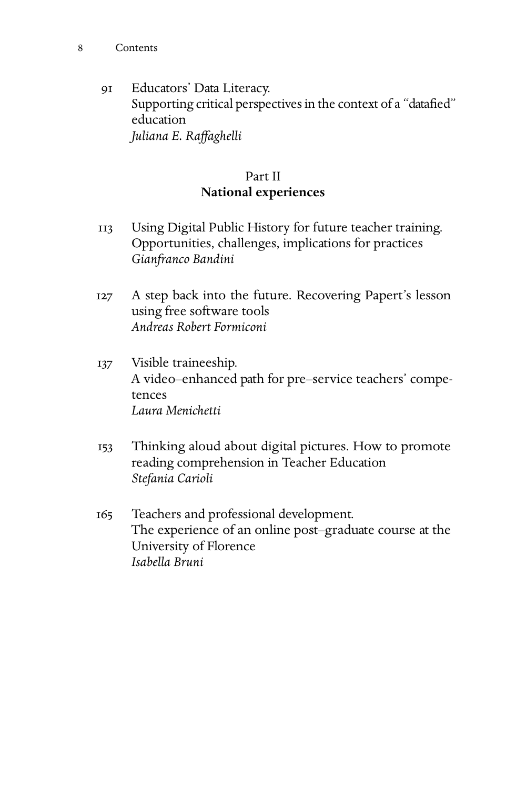- Contents
	- Educators' Data Literacy. Supporting critical perspectives in the context of a "datafied" education *Juliana E. Raffaghelli*

### Part II **National experiences**

- Using Digital Public History for future teacher training. Opportunities, challenges, implications for practices *Gianfranco Bandini*
- A step back into the future. Recovering Papert's lesson using free software tools *Andreas Robert Formiconi*
- Visible traineeship. A video–enhanced path for pre–service teachers' competences *Laura Menichetti*
- Thinking aloud about digital pictures. How to promote reading comprehension in Teacher Education *Stefania Carioli*
- Teachers and professional development. The experience of an online post–graduate course at the University of Florence *Isabella Bruni*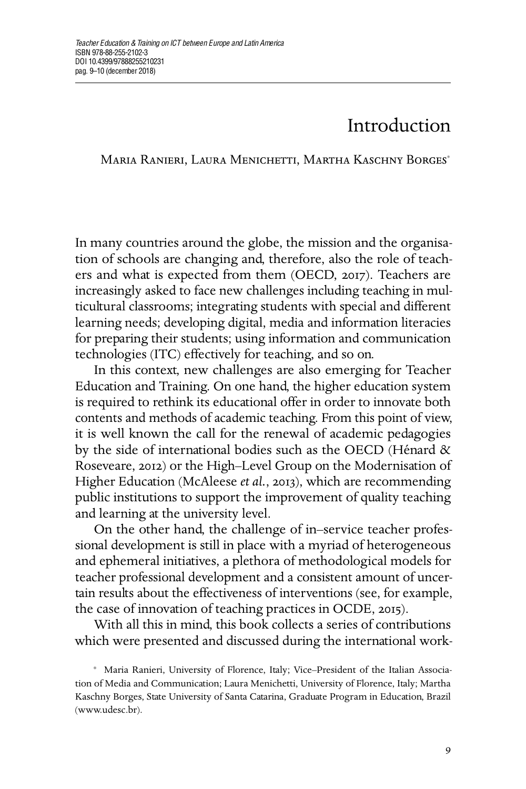# Introduction

MARIA RANIERI, LAURA MENICHETTI, MARTHA KASCHNY BORGES<sup>\*</sup>

In many countries around the globe, the mission and the organisation of schools are changing and, therefore, also the role of teachers and what is expected from them (OECD, 2017). Teachers are increasingly asked to face new challenges including teaching in multicultural classrooms; integrating students with special and different learning needs; developing digital, media and information literacies for preparing their students; using information and communication technologies (ITC) effectively for teaching, and so on.

In this context, new challenges are also emerging for Teacher Education and Training. On one hand, the higher education system is required to rethink its educational offer in order to innovate both contents and methods of academic teaching. From this point of view, it is well known the call for the renewal of academic pedagogies by the side of international bodies such as the OECD (Hénard & Roseveare, 2012) or the High–Level Group on the Modernisation of Higher Education (McAleese *et al.*, 2013), which are recommending public institutions to support the improvement of quality teaching and learning at the university level.

On the other hand, the challenge of in–service teacher professional development is still in place with a myriad of heterogeneous and ephemeral initiatives, a plethora of methodological models for teacher professional development and a consistent amount of uncertain results about the effectiveness of interventions (see, for example, the case of innovation of teaching practices in OCDE, 2015).

With all this in mind, this book collects a series of contributions which were presented and discussed during the international work-

<sup>∗</sup> Maria Ranieri, University of Florence, Italy; Vice–President of the Italian Association of Media and Communication; Laura Menichetti, University of Florence, Italy; Martha Kaschny Borges, State University of Santa Catarina, Graduate Program in Education, Brazil [\(www.udesc.br\)](http://www.udesc.br/).